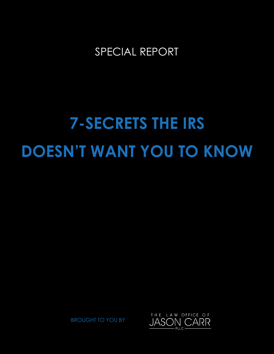# SPECIAL REPORT

# **7-SECRETS THE IRS DOESN'T WANT YOU TO KNOW**

BROUGHT TO YOU BY

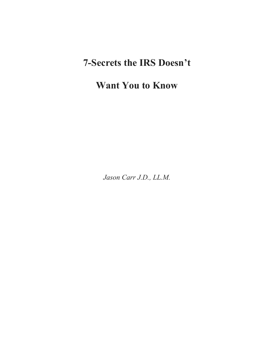# **7-Secrets the IRS Doesn't**

# **Want You to Know**

*Jason Carr J.D., LL.M.*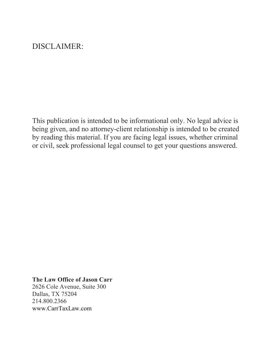# DISCLAIMER:

This publication is intended to be informational only. No legal advice is being given, and no attorney-client relationship is intended to be created by reading this material. If you are facing legal issues, whether criminal or civil, seek professional legal counsel to get your questions answered.

## **The Law Office of Jason Carr**

2626 Cole Avenue, Suite 300 Dallas, TX 75204 214.800.2366 www.CarrTaxLaw.com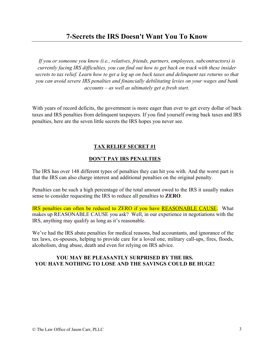# **7-Secrets the IRS Doesn't Want You To Know**

*If you or someone you know (i.e., relatives, friends, partners, employees, subcontractors) is currently facing IRS difficulties, you can find out how to get back on track with these insider secrets to tax relief. Learn how to get a leg up on back taxes and delinquent tax returns so that you can avoid severe IRS penalties and financially debilitating levies on your wages and bank accounts – as well as ultimately get a fresh start.* 

With years of record deficits, the government is more eager than ever to get every dollar of back taxes and IRS penalties from delinquent taxpayers. If you find yourself owing back taxes and IRS penalties, here are the seven little secrets the IRS hopes you never see.

#### **TAX RELIEF SECRET #1**

#### **DON'T PAY IRS PENALTIES**

The IRS has over 148 different types of penalties they can hit you with. And the worst part is that the IRS can also charge interest and additional penalties on the original penalty.

Penalties can be such a high percentage of the total amount owed to the IRS it usually makes sense to consider requesting the IRS to reduce all penalties to **ZERO**.

IRS penalties can often be reduced to ZERO if you have REASONABLE CAUSE. What makes up REASONABLE CAUSE you ask? Well, in our experience in negotiations with the IRS, anything may qualify as long as it's reasonable.

We've had the IRS abate penalties for medical reasons, bad accountants, and ignorance of the tax laws, ex-spouses, helping to provide care for a loved one, military call-ups, fires, floods, alcoholism, drug abuse, death and even for relying on IRS advice.

#### **YOU MAY BE PLEASANTLY SURPRISED BY THE IRS. YOU HAVE NOTHING TO LOSE AND THE SAVINGS COULD BE HUGE!**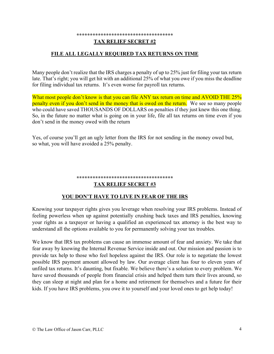#### **\*\*\*\*\*\*\*\*\*\*\*\*\*\*\*\*\*\*\*\*\*\*\*\*\*\*\*\*\*\*\*\*\*\*\*\***

#### **TAX RELIEF SECRET #2**

#### **FILE ALL LEGALLY REQUIRED TAX RETURNS ON TIME**

Many people don't realize that the IRS charges a penalty of up to 25% just for filing your tax return late. That's right; you will get hit with an additional 25% of what you owe if you miss the deadline for filing individual tax returns. It's even worse for payroll tax returns.

What most people don't know is that you can file ANY tax return on time and AVOID THE 25% penalty even if you don't send in the money that is owed on the return. We see so many people who could have saved THOUSANDS OF DOLLARS on penalties if they just knew this one thing. So, in the future no matter what is going on in your life, file all tax returns on time even if you don't send in the money owed with the return

Yes, of course you'll get an ugly letter from the IRS for not sending in the money owed but, so what, you will have avoided a 25% penalty.

#### **\*\*\*\*\*\*\*\*\*\*\*\*\*\*\*\*\*\*\*\*\*\*\*\*\*\*\*\*\*\*\*\*\*\*\*\***

#### **TAX RELIEF SECRET #3**

#### **YOU DON'T HAVE TO LIVE IN FEAR OF THE IRS**

Knowing your taxpayer rights gives you leverage when resolving your IRS problems. Instead of feeling powerless when up against potentially crushing back taxes and IRS penalties, knowing your rights as a taxpayer or having a qualified an experienced tax attorney is the best way to understand all the options available to you for permanently solving your tax troubles.

We know that IRS tax problems can cause an immense amount of fear and anxiety. We take that fear away by knowing the Internal Revenue Service inside and out. Our mission and passion is to provide tax help to those who feel hopeless against the IRS. Our role is to negotiate the lowest possible IRS payment amount allowed by law. Our average client has four to eleven years of unfiled tax returns. It's daunting, but fixable. We believe there's a solution to every problem. We have saved thousands of people from financial crisis and helped them turn their lives around, so they can sleep at night and plan for a home and retirement for themselves and a future for their kids. If you have IRS problems, you owe it to yourself and your loved ones to get help today!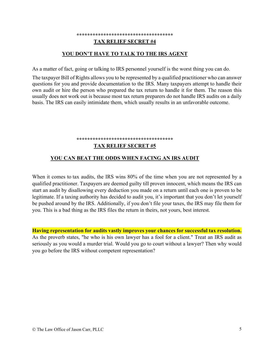#### **\*\*\*\*\*\*\*\*\*\*\*\*\*\*\*\*\*\*\*\*\*\*\*\*\*\*\*\*\*\*\*\*\*\*\*\* TAX RELIEF SECRET #4**

#### **YOU DON'T HAVE TO TALK TO THE IRS AGENT**

As a matter of fact, going or talking to IRS personnel yourself is the worst thing you can do.

The taxpayer Bill of Rights allows you to be represented by a qualified practitioner who can answer questions for you and provide documentation to the IRS. Many taxpayers attempt to handle their own audit or hire the person who prepared the tax return to handle it for them. The reason this usually does not work out is because most tax return preparers do not handle IRS audits on a daily basis. The IRS can easily intimidate them, which usually results in an unfavorable outcome.

#### \*\*\*\*\*\*\*\*\*\*\*\*\*\*\*\*\*\*\*\*\*\*\*\*\*\*\*\*\*\*\*\*

#### **TAX RELIEF SECRET #5**

#### **YOU CAN BEAT THE ODDS WHEN FACING AN IRS AUDIT**

When it comes to tax audits, the IRS wins 80% of the time when you are not represented by a qualified practitioner. Taxpayers are deemed guilty till proven innocent, which means the IRS can start an audit by disallowing every deduction you made on a return until each one is proven to be legitimate. If a taxing authority has decided to audit you, it's important that you don't let yourself be pushed around by the IRS. Additionally, if you don't file your taxes, the IRS may file them for you. This is a bad thing as the IRS files the return in theirs, not yours, best interest.

**Having representation for audits vastly improves your chances for successful tax resolution.** As the proverb states, "he who is his own lawyer has a fool for a client." Treat an IRS audit as seriously as you would a murder trial. Would you go to court without a lawyer? Then why would you go before the IRS without competent representation?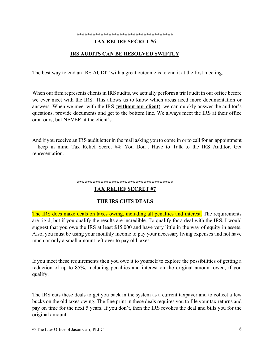#### **\*\*\*\*\*\*\*\*\*\*\*\*\*\*\*\*\*\*\*\*\*\*\*\*\*\*\*\*\*\*\*\*\*\*\*\***

#### **TAX RELIEF SECRET #6**

#### **IRS AUDITS CAN BE RESOLVED SWIFTLY**

The best way to end an IRS AUDIT with a great outcome is to end it at the first meeting.

When our firm represents clients in IRS audits, we actually perform a trial audit in our office before we ever meet with the IRS. This allows us to know which areas need more documentation or answers. When we meet with the IRS (**without our client**), we can quickly answer the auditor's questions, provide documents and get to the bottom line. We always meet the IRS at their office or at ours, but NEVER at the client's.

And if you receive an IRS audit letter in the mail asking you to come in or to call for an appointment – keep in mind Tax Relief Secret #4: You Don't Have to Talk to the IRS Auditor. Get representation.

#### **\*\*\*\*\*\*\*\*\*\*\*\*\*\*\*\*\*\*\*\*\*\*\*\*\*\*\*\*\*\*\*\*\*\*\*\***

#### **TAX RELIEF SECRET #7**

#### **THE IRS CUTS DEALS**

The IRS does make deals on taxes owing, including all penalties and interest. The requirements are rigid, but if you qualify the results are incredible. To qualify for a deal with the IRS, I would suggest that you owe the IRS at least \$15,000 and have very little in the way of equity in assets. Also, you must be using your monthly income to pay your necessary living expenses and not have much or only a small amount left over to pay old taxes.

If you meet these requirements then you owe it to yourself to explore the possibilities of getting a reduction of up to 85%, including penalties and interest on the original amount owed, if you qualify.

The IRS cuts these deals to get you back in the system as a current taxpayer and to collect a few bucks on the old taxes owing. The fine print in these deals requires you to file your tax returns and pay on time for the next 5 years. If you don't, then the IRS revokes the deal and bills you for the original amount.